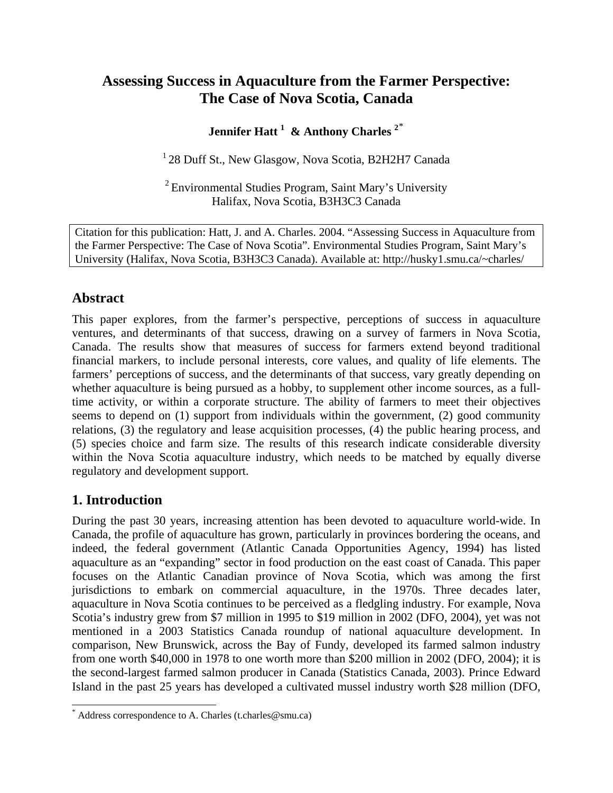# **Assessing Success in Aquaculture from the Farmer Perspective: The Case of Nova Scotia, Canada**

# **Jennifer Hatt 1 & Anthony Charles 2**[\\*](#page-0-0)

 $128$  Duff St., New Glasgow, Nova Scotia, B2H2H7 Canada

<sup>2</sup> Environmental Studies Program, Saint Mary's University Halifax, Nova Scotia, B3H3C3 Canada

 Citation for this publication: Hatt, J. and A. Charles. 2004. "Assessing Success in Aquaculture from the Farmer Perspective: The Case of Nova Scotia". Environmental Studies Program, Saint Mary's University (Halifax, Nova Scotia, B3H3C3 Canada). Available at: http://husky1.smu.ca/~charles/

## **Abstract**

This paper explores, from the farmer's perspective, perceptions of success in aquaculture ventures, and determinants of that success, drawing on a survey of farmers in Nova Scotia, Canada. The results show that measures of success for farmers extend beyond traditional financial markers, to include personal interests, core values, and quality of life elements. The farmers' perceptions of success, and the determinants of that success, vary greatly depending on whether aquaculture is being pursued as a hobby, to supplement other income sources, as a fulltime activity, or within a corporate structure. The ability of farmers to meet their objectives seems to depend on (1) support from individuals within the government, (2) good community relations, (3) the regulatory and lease acquisition processes, (4) the public hearing process, and (5) species choice and farm size. The results of this research indicate considerable diversity within the Nova Scotia aquaculture industry, which needs to be matched by equally diverse regulatory and development support.

## **1. Introduction**

 $\overline{a}$ 

During the past 30 years, increasing attention has been devoted to aquaculture world-wide. In Canada, the profile of aquaculture has grown, particularly in provinces bordering the oceans, and indeed, the federal government (Atlantic Canada Opportunities Agency, 1994) has listed aquaculture as an "expanding" sector in food production on the east coast of Canada. This paper focuses on the Atlantic Canadian province of Nova Scotia, which was among the first jurisdictions to embark on commercial aquaculture, in the 1970s. Three decades later, aquaculture in Nova Scotia continues to be perceived as a fledgling industry. For example, Nova Scotia's industry grew from \$7 million in 1995 to \$19 million in 2002 (DFO, 2004), yet was not mentioned in a 2003 Statistics Canada roundup of national aquaculture development. In comparison, New Brunswick, across the Bay of Fundy, developed its farmed salmon industry from one worth \$40,000 in 1978 to one worth more than \$200 million in 2002 (DFO, 2004); it is the second-largest farmed salmon producer in Canada (Statistics Canada, 2003). Prince Edward Island in the past 25 years has developed a cultivated mussel industry worth \$28 million (DFO,

<span id="page-0-0"></span><sup>\*</sup> Address correspondence to A. Charles (t.charles@smu.ca)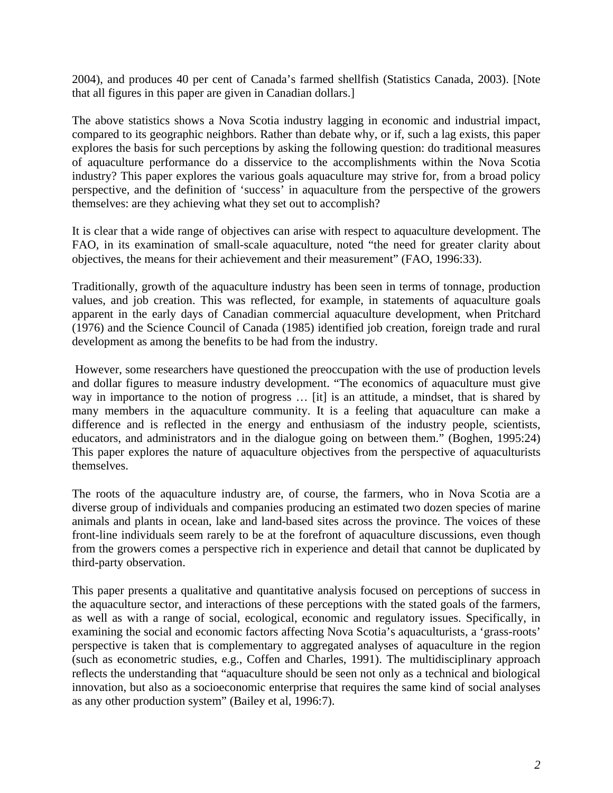2004), and produces 40 per cent of Canada's farmed shellfish (Statistics Canada, 2003). [Note that all figures in this paper are given in Canadian dollars.]

The above statistics shows a Nova Scotia industry lagging in economic and industrial impact, compared to its geographic neighbors. Rather than debate why, or if, such a lag exists, this paper explores the basis for such perceptions by asking the following question: do traditional measures of aquaculture performance do a disservice to the accomplishments within the Nova Scotia industry? This paper explores the various goals aquaculture may strive for, from a broad policy perspective, and the definition of 'success' in aquaculture from the perspective of the growers themselves: are they achieving what they set out to accomplish?

It is clear that a wide range of objectives can arise with respect to aquaculture development. The FAO, in its examination of small-scale aquaculture, noted "the need for greater clarity about objectives, the means for their achievement and their measurement" (FAO, 1996:33).

Traditionally, growth of the aquaculture industry has been seen in terms of tonnage, production values, and job creation. This was reflected, for example, in statements of aquaculture goals apparent in the early days of Canadian commercial aquaculture development, when Pritchard (1976) and the Science Council of Canada (1985) identified job creation, foreign trade and rural development as among the benefits to be had from the industry.

 However, some researchers have questioned the preoccupation with the use of production levels and dollar figures to measure industry development. "The economics of aquaculture must give way in importance to the notion of progress … [it] is an attitude, a mindset, that is shared by many members in the aquaculture community. It is a feeling that aquaculture can make a difference and is reflected in the energy and enthusiasm of the industry people, scientists, educators, and administrators and in the dialogue going on between them." (Boghen, 1995:24) This paper explores the nature of aquaculture objectives from the perspective of aquaculturists themselves.

The roots of the aquaculture industry are, of course, the farmers, who in Nova Scotia are a diverse group of individuals and companies producing an estimated two dozen species of marine animals and plants in ocean, lake and land-based sites across the province. The voices of these front-line individuals seem rarely to be at the forefront of aquaculture discussions, even though from the growers comes a perspective rich in experience and detail that cannot be duplicated by third-party observation.

This paper presents a qualitative and quantitative analysis focused on perceptions of success in the aquaculture sector, and interactions of these perceptions with the stated goals of the farmers, as well as with a range of social, ecological, economic and regulatory issues. Specifically, in examining the social and economic factors affecting Nova Scotia's aquaculturists, a 'grass-roots' perspective is taken that is complementary to aggregated analyses of aquaculture in the region (such as econometric studies, e.g., Coffen and Charles, 1991). The multidisciplinary approach reflects the understanding that "aquaculture should be seen not only as a technical and biological innovation, but also as a socioeconomic enterprise that requires the same kind of social analyses as any other production system" (Bailey et al, 1996:7).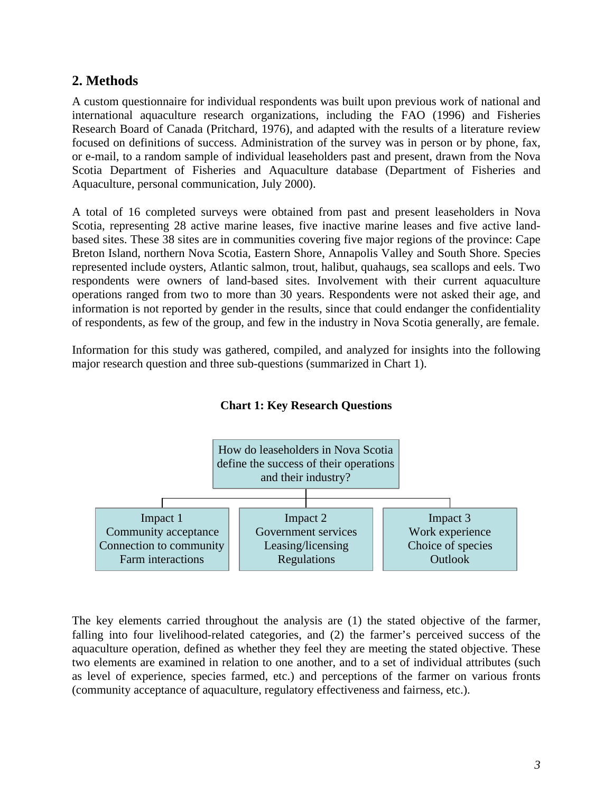## **2. Methods**

A custom questionnaire for individual respondents was built upon previous work of national and international aquaculture research organizations, including the FAO (1996) and Fisheries Research Board of Canada (Pritchard, 1976), and adapted with the results of a literature review focused on definitions of success. Administration of the survey was in person or by phone, fax, or e-mail, to a random sample of individual leaseholders past and present, drawn from the Nova Scotia Department of Fisheries and Aquaculture database (Department of Fisheries and Aquaculture, personal communication, July 2000).

A total of 16 completed surveys were obtained from past and present leaseholders in Nova Scotia, representing 28 active marine leases, five inactive marine leases and five active landbased sites. These 38 sites are in communities covering five major regions of the province: Cape Breton Island, northern Nova Scotia, Eastern Shore, Annapolis Valley and South Shore. Species represented include oysters, Atlantic salmon, trout, halibut, quahaugs, sea scallops and eels. Two respondents were owners of land-based sites. Involvement with their current aquaculture operations ranged from two to more than 30 years. Respondents were not asked their age, and information is not reported by gender in the results, since that could endanger the confidentiality of respondents, as few of the group, and few in the industry in Nova Scotia generally, are female.

Information for this study was gathered, compiled, and analyzed for insights into the following major research question and three sub-questions (summarized in Chart 1).



## **Chart 1: Key Research Questions**

The key elements carried throughout the analysis are (1) the stated objective of the farmer, falling into four livelihood-related categories, and (2) the farmer's perceived success of the aquaculture operation, defined as whether they feel they are meeting the stated objective. These two elements are examined in relation to one another, and to a set of individual attributes (such as level of experience, species farmed, etc.) and perceptions of the farmer on various fronts (community acceptance of aquaculture, regulatory effectiveness and fairness, etc.).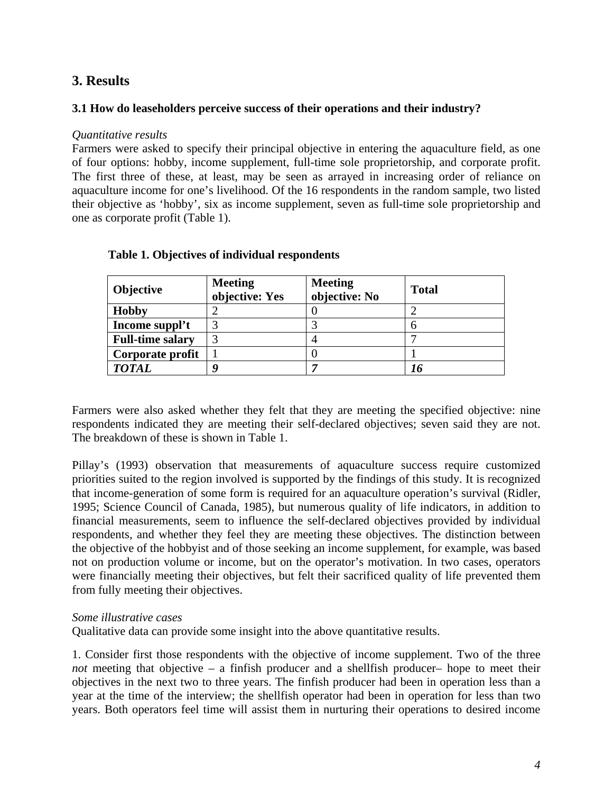## **3. Results**

### **3.1 How do leaseholders perceive success of their operations and their industry?**

#### *Quantitative results*

Farmers were asked to specify their principal objective in entering the aquaculture field, as one of four options: hobby, income supplement, full-time sole proprietorship, and corporate profit. The first three of these, at least, may be seen as arrayed in increasing order of reliance on aquaculture income for one's livelihood. Of the 16 respondents in the random sample, two listed their objective as 'hobby', six as income supplement, seven as full-time sole proprietorship and one as corporate profit (Table 1).

| <b>Objective</b>        | <b>Meeting</b><br>objective: Yes | <b>Meeting</b><br>objective: No | <b>Total</b> |
|-------------------------|----------------------------------|---------------------------------|--------------|
| <b>Hobby</b>            |                                  |                                 |              |
| Income suppl't          | 3                                |                                 |              |
| <b>Full-time salary</b> | 3                                |                                 |              |
| Corporate profit        |                                  |                                 |              |
| <b>TOTAL</b>            |                                  |                                 |              |

#### **Table 1. Objectives of individual respondents**

Farmers were also asked whether they felt that they are meeting the specified objective: nine respondents indicated they are meeting their self-declared objectives; seven said they are not. The breakdown of these is shown in Table 1.

Pillay's (1993) observation that measurements of aquaculture success require customized priorities suited to the region involved is supported by the findings of this study. It is recognized that income-generation of some form is required for an aquaculture operation's survival (Ridler, 1995; Science Council of Canada, 1985), but numerous quality of life indicators, in addition to financial measurements, seem to influence the self-declared objectives provided by individual respondents, and whether they feel they are meeting these objectives. The distinction between the objective of the hobbyist and of those seeking an income supplement, for example, was based not on production volume or income, but on the operator's motivation. In two cases, operators were financially meeting their objectives, but felt their sacrificed quality of life prevented them from fully meeting their objectives.

#### *Some illustrative cases*

Qualitative data can provide some insight into the above quantitative results.

1. Consider first those respondents with the objective of income supplement. Two of the three *not* meeting that objective – a finfish producer and a shellfish producer– hope to meet their objectives in the next two to three years. The finfish producer had been in operation less than a year at the time of the interview; the shellfish operator had been in operation for less than two years. Both operators feel time will assist them in nurturing their operations to desired income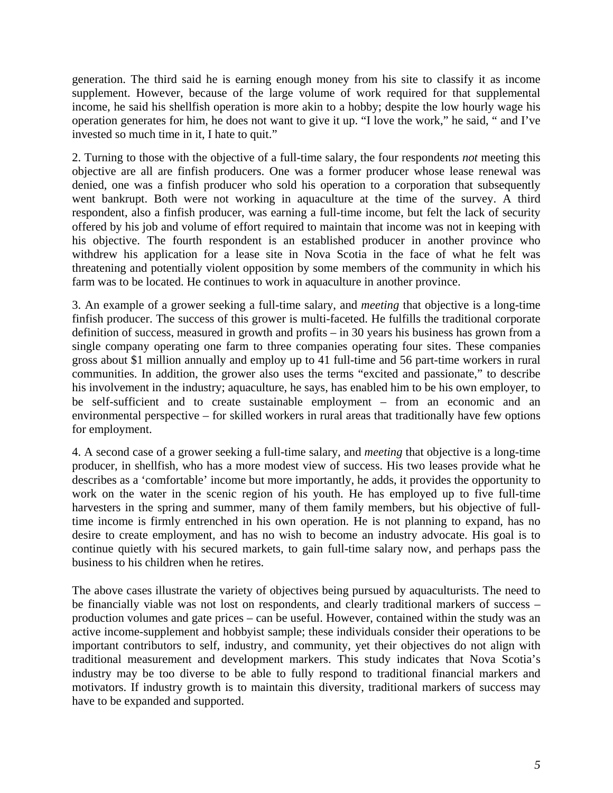generation. The third said he is earning enough money from his site to classify it as income supplement. However, because of the large volume of work required for that supplemental income, he said his shellfish operation is more akin to a hobby; despite the low hourly wage his operation generates for him, he does not want to give it up. "I love the work," he said, " and I've invested so much time in it, I hate to quit."

2. Turning to those with the objective of a full-time salary, the four respondents *not* meeting this objective are all are finfish producers. One was a former producer whose lease renewal was denied, one was a finfish producer who sold his operation to a corporation that subsequently went bankrupt. Both were not working in aquaculture at the time of the survey. A third respondent, also a finfish producer, was earning a full-time income, but felt the lack of security offered by his job and volume of effort required to maintain that income was not in keeping with his objective. The fourth respondent is an established producer in another province who withdrew his application for a lease site in Nova Scotia in the face of what he felt was threatening and potentially violent opposition by some members of the community in which his farm was to be located. He continues to work in aquaculture in another province.

3. An example of a grower seeking a full-time salary, and *meeting* that objective is a long-time finfish producer. The success of this grower is multi-faceted. He fulfills the traditional corporate definition of success, measured in growth and profits – in 30 years his business has grown from a single company operating one farm to three companies operating four sites. These companies gross about \$1 million annually and employ up to 41 full-time and 56 part-time workers in rural communities. In addition, the grower also uses the terms "excited and passionate," to describe his involvement in the industry; aquaculture, he says, has enabled him to be his own employer, to be self-sufficient and to create sustainable employment – from an economic and an environmental perspective – for skilled workers in rural areas that traditionally have few options for employment.

4. A second case of a grower seeking a full-time salary, and *meeting* that objective is a long-time producer, in shellfish, who has a more modest view of success. His two leases provide what he describes as a 'comfortable' income but more importantly, he adds, it provides the opportunity to work on the water in the scenic region of his youth. He has employed up to five full-time harvesters in the spring and summer, many of them family members, but his objective of fulltime income is firmly entrenched in his own operation. He is not planning to expand, has no desire to create employment, and has no wish to become an industry advocate. His goal is to continue quietly with his secured markets, to gain full-time salary now, and perhaps pass the business to his children when he retires.

The above cases illustrate the variety of objectives being pursued by aquaculturists. The need to be financially viable was not lost on respondents, and clearly traditional markers of success – production volumes and gate prices – can be useful. However, contained within the study was an active income-supplement and hobbyist sample; these individuals consider their operations to be important contributors to self, industry, and community, yet their objectives do not align with traditional measurement and development markers. This study indicates that Nova Scotia's industry may be too diverse to be able to fully respond to traditional financial markers and motivators. If industry growth is to maintain this diversity, traditional markers of success may have to be expanded and supported.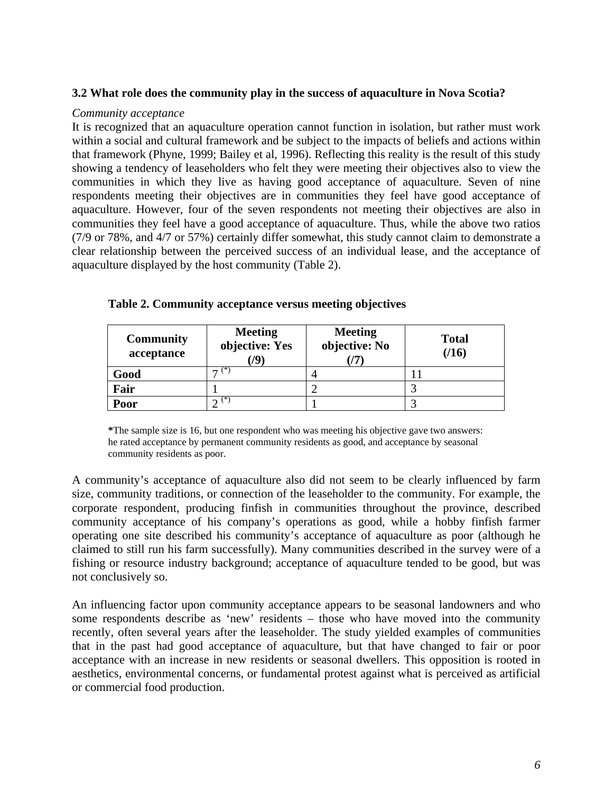#### **3.2 What role does the community play in the success of aquaculture in Nova Scotia?**

#### *Community acceptance*

It is recognized that an aquaculture operation cannot function in isolation, but rather must work within a social and cultural framework and be subject to the impacts of beliefs and actions within that framework (Phyne, 1999; Bailey et al, 1996). Reflecting this reality is the result of this study showing a tendency of leaseholders who felt they were meeting their objectives also to view the communities in which they live as having good acceptance of aquaculture. Seven of nine respondents meeting their objectives are in communities they feel have good acceptance of aquaculture. However, four of the seven respondents not meeting their objectives are also in communities they feel have a good acceptance of aquaculture. Thus, while the above two ratios (7/9 or 78%, and 4/7 or 57%) certainly differ somewhat, this study cannot claim to demonstrate a clear relationship between the perceived success of an individual lease, and the acceptance of aquaculture displayed by the host community (Table 2).

| <b>Community</b><br>acceptance | <b>Meeting</b><br>objective: Yes<br>79 | <b>Meeting</b><br>objective: No | <b>Total</b><br>(16) |
|--------------------------------|----------------------------------------|---------------------------------|----------------------|
| Good                           | (*)<br>–                               |                                 |                      |
| Fair                           |                                        |                                 |                      |
| Poor                           | (*)<br>⌒                               |                                 |                      |

#### **Table 2. Community acceptance versus meeting objectives**

**\***The sample size is 16, but one respondent who was meeting his objective gave two answers: he rated acceptance by permanent community residents as good, and acceptance by seasonal community residents as poor.

A community's acceptance of aquaculture also did not seem to be clearly influenced by farm size, community traditions, or connection of the leaseholder to the community. For example, the corporate respondent, producing finfish in communities throughout the province, described community acceptance of his company's operations as good, while a hobby finfish farmer operating one site described his community's acceptance of aquaculture as poor (although he claimed to still run his farm successfully). Many communities described in the survey were of a fishing or resource industry background; acceptance of aquaculture tended to be good, but was not conclusively so.

An influencing factor upon community acceptance appears to be seasonal landowners and who some respondents describe as 'new' residents – those who have moved into the community recently, often several years after the leaseholder. The study yielded examples of communities that in the past had good acceptance of aquaculture, but that have changed to fair or poor acceptance with an increase in new residents or seasonal dwellers. This opposition is rooted in aesthetics, environmental concerns, or fundamental protest against what is perceived as artificial or commercial food production.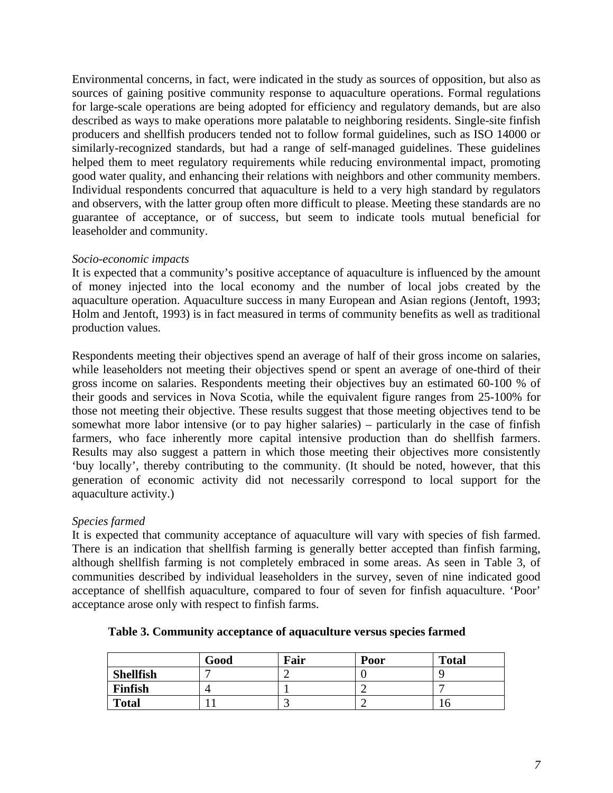Environmental concerns, in fact, were indicated in the study as sources of opposition, but also as sources of gaining positive community response to aquaculture operations. Formal regulations for large-scale operations are being adopted for efficiency and regulatory demands, but are also described as ways to make operations more palatable to neighboring residents. Single-site finfish producers and shellfish producers tended not to follow formal guidelines, such as ISO 14000 or similarly-recognized standards, but had a range of self-managed guidelines. These guidelines helped them to meet regulatory requirements while reducing environmental impact, promoting good water quality, and enhancing their relations with neighbors and other community members. Individual respondents concurred that aquaculture is held to a very high standard by regulators and observers, with the latter group often more difficult to please. Meeting these standards are no guarantee of acceptance, or of success, but seem to indicate tools mutual beneficial for leaseholder and community.

#### *Socio-economic impacts*

It is expected that a community's positive acceptance of aquaculture is influenced by the amount of money injected into the local economy and the number of local jobs created by the aquaculture operation. Aquaculture success in many European and Asian regions (Jentoft, 1993; Holm and Jentoft, 1993) is in fact measured in terms of community benefits as well as traditional production values.

Respondents meeting their objectives spend an average of half of their gross income on salaries, while leaseholders not meeting their objectives spend or spent an average of one-third of their gross income on salaries. Respondents meeting their objectives buy an estimated 60-100 % of their goods and services in Nova Scotia, while the equivalent figure ranges from 25-100% for those not meeting their objective. These results suggest that those meeting objectives tend to be somewhat more labor intensive (or to pay higher salaries) – particularly in the case of finfish farmers, who face inherently more capital intensive production than do shellfish farmers. Results may also suggest a pattern in which those meeting their objectives more consistently 'buy locally', thereby contributing to the community. (It should be noted, however, that this generation of economic activity did not necessarily correspond to local support for the aquaculture activity.)

#### *Species farmed*

It is expected that community acceptance of aquaculture will vary with species of fish farmed. There is an indication that shellfish farming is generally better accepted than finfish farming, although shellfish farming is not completely embraced in some areas. As seen in Table 3, of communities described by individual leaseholders in the survey, seven of nine indicated good acceptance of shellfish aquaculture, compared to four of seven for finfish aquaculture. 'Poor' acceptance arose only with respect to finfish farms.

|                  | Good | Fair | Poor | <b>Total</b> |
|------------------|------|------|------|--------------|
| <b>Shellfish</b> |      |      |      |              |
| <b>Finfish</b>   |      |      |      |              |
| <b>Total</b>     |      |      |      |              |

**Table 3. Community acceptance of aquaculture versus species farmed**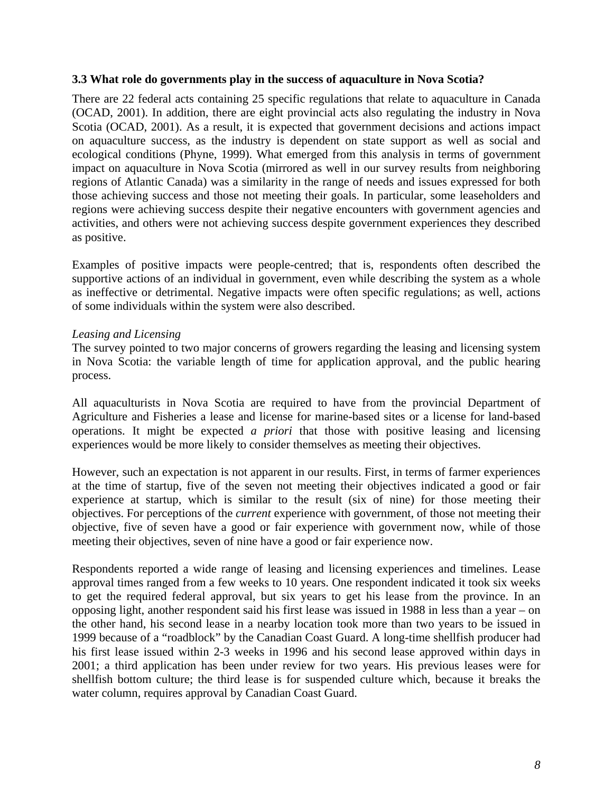#### **3.3 What role do governments play in the success of aquaculture in Nova Scotia?**

There are 22 federal acts containing 25 specific regulations that relate to aquaculture in Canada (OCAD, 2001). In addition, there are eight provincial acts also regulating the industry in Nova Scotia (OCAD, 2001). As a result, it is expected that government decisions and actions impact on aquaculture success, as the industry is dependent on state support as well as social and ecological conditions (Phyne, 1999). What emerged from this analysis in terms of government impact on aquaculture in Nova Scotia (mirrored as well in our survey results from neighboring regions of Atlantic Canada) was a similarity in the range of needs and issues expressed for both those achieving success and those not meeting their goals. In particular, some leaseholders and regions were achieving success despite their negative encounters with government agencies and activities, and others were not achieving success despite government experiences they described as positive.

Examples of positive impacts were people-centred; that is, respondents often described the supportive actions of an individual in government, even while describing the system as a whole as ineffective or detrimental. Negative impacts were often specific regulations; as well, actions of some individuals within the system were also described.

#### *Leasing and Licensing*

The survey pointed to two major concerns of growers regarding the leasing and licensing system in Nova Scotia: the variable length of time for application approval, and the public hearing process.

All aquaculturists in Nova Scotia are required to have from the provincial Department of Agriculture and Fisheries a lease and license for marine-based sites or a license for land-based operations. It might be expected *a priori* that those with positive leasing and licensing experiences would be more likely to consider themselves as meeting their objectives.

However, such an expectation is not apparent in our results. First, in terms of farmer experiences at the time of startup, five of the seven not meeting their objectives indicated a good or fair experience at startup, which is similar to the result (six of nine) for those meeting their objectives. For perceptions of the *current* experience with government, of those not meeting their objective, five of seven have a good or fair experience with government now, while of those meeting their objectives, seven of nine have a good or fair experience now.

Respondents reported a wide range of leasing and licensing experiences and timelines. Lease approval times ranged from a few weeks to 10 years. One respondent indicated it took six weeks to get the required federal approval, but six years to get his lease from the province. In an opposing light, another respondent said his first lease was issued in 1988 in less than a year – on the other hand, his second lease in a nearby location took more than two years to be issued in 1999 because of a "roadblock" by the Canadian Coast Guard. A long-time shellfish producer had his first lease issued within 2-3 weeks in 1996 and his second lease approved within days in 2001; a third application has been under review for two years. His previous leases were for shellfish bottom culture; the third lease is for suspended culture which, because it breaks the water column, requires approval by Canadian Coast Guard.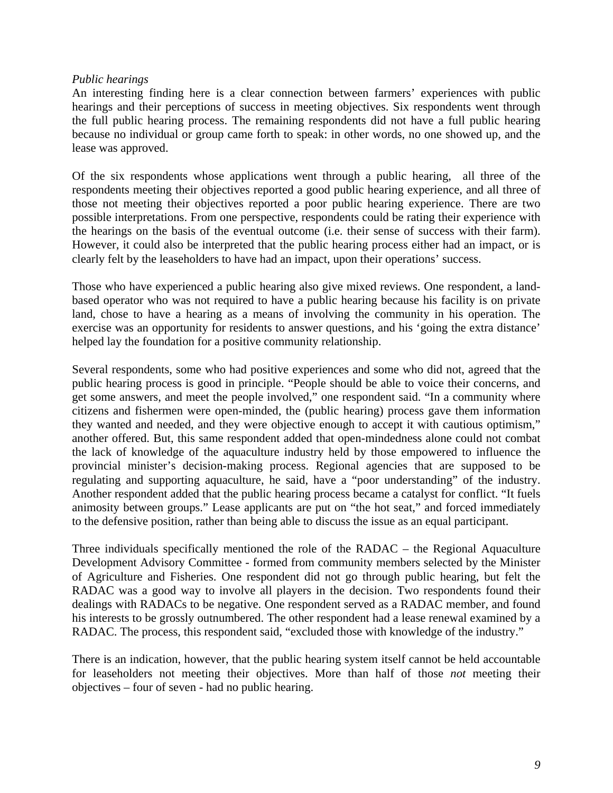#### *Public hearings*

An interesting finding here is a clear connection between farmers' experiences with public hearings and their perceptions of success in meeting objectives. Six respondents went through the full public hearing process. The remaining respondents did not have a full public hearing because no individual or group came forth to speak: in other words, no one showed up, and the lease was approved.

Of the six respondents whose applications went through a public hearing, all three of the respondents meeting their objectives reported a good public hearing experience, and all three of those not meeting their objectives reported a poor public hearing experience. There are two possible interpretations. From one perspective, respondents could be rating their experience with the hearings on the basis of the eventual outcome (i.e. their sense of success with their farm). However, it could also be interpreted that the public hearing process either had an impact, or is clearly felt by the leaseholders to have had an impact, upon their operations' success.

Those who have experienced a public hearing also give mixed reviews. One respondent, a landbased operator who was not required to have a public hearing because his facility is on private land, chose to have a hearing as a means of involving the community in his operation. The exercise was an opportunity for residents to answer questions, and his 'going the extra distance' helped lay the foundation for a positive community relationship.

Several respondents, some who had positive experiences and some who did not, agreed that the public hearing process is good in principle. "People should be able to voice their concerns, and get some answers, and meet the people involved," one respondent said. "In a community where citizens and fishermen were open-minded, the (public hearing) process gave them information they wanted and needed, and they were objective enough to accept it with cautious optimism," another offered. But, this same respondent added that open-mindedness alone could not combat the lack of knowledge of the aquaculture industry held by those empowered to influence the provincial minister's decision-making process. Regional agencies that are supposed to be regulating and supporting aquaculture, he said, have a "poor understanding" of the industry. Another respondent added that the public hearing process became a catalyst for conflict. "It fuels animosity between groups." Lease applicants are put on "the hot seat," and forced immediately to the defensive position, rather than being able to discuss the issue as an equal participant.

Three individuals specifically mentioned the role of the RADAC – the Regional Aquaculture Development Advisory Committee - formed from community members selected by the Minister of Agriculture and Fisheries. One respondent did not go through public hearing, but felt the RADAC was a good way to involve all players in the decision. Two respondents found their dealings with RADACs to be negative. One respondent served as a RADAC member, and found his interests to be grossly outnumbered. The other respondent had a lease renewal examined by a RADAC. The process, this respondent said, "excluded those with knowledge of the industry."

There is an indication, however, that the public hearing system itself cannot be held accountable for leaseholders not meeting their objectives. More than half of those *not* meeting their objectives – four of seven - had no public hearing.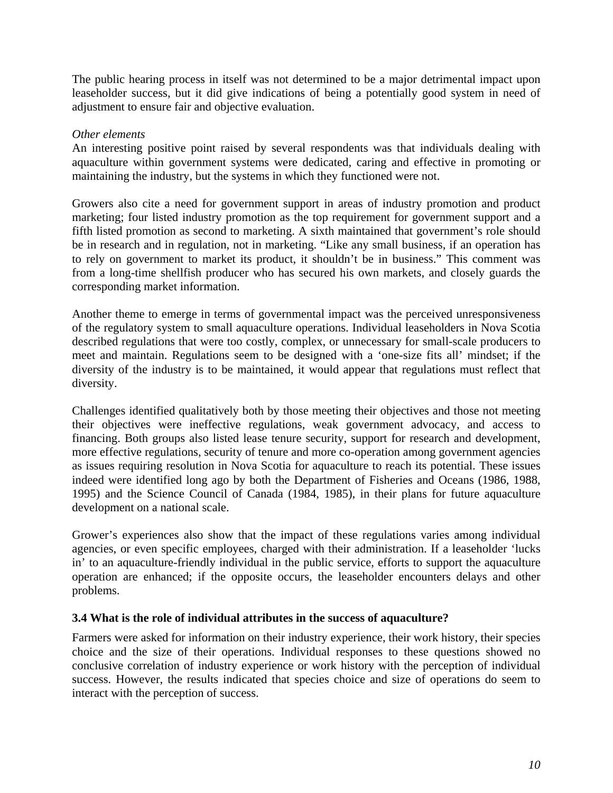The public hearing process in itself was not determined to be a major detrimental impact upon leaseholder success, but it did give indications of being a potentially good system in need of adjustment to ensure fair and objective evaluation.

### *Other elements*

An interesting positive point raised by several respondents was that individuals dealing with aquaculture within government systems were dedicated, caring and effective in promoting or maintaining the industry, but the systems in which they functioned were not.

Growers also cite a need for government support in areas of industry promotion and product marketing; four listed industry promotion as the top requirement for government support and a fifth listed promotion as second to marketing. A sixth maintained that government's role should be in research and in regulation, not in marketing. "Like any small business, if an operation has to rely on government to market its product, it shouldn't be in business." This comment was from a long-time shellfish producer who has secured his own markets, and closely guards the corresponding market information.

Another theme to emerge in terms of governmental impact was the perceived unresponsiveness of the regulatory system to small aquaculture operations. Individual leaseholders in Nova Scotia described regulations that were too costly, complex, or unnecessary for small-scale producers to meet and maintain. Regulations seem to be designed with a 'one-size fits all' mindset; if the diversity of the industry is to be maintained, it would appear that regulations must reflect that diversity.

Challenges identified qualitatively both by those meeting their objectives and those not meeting their objectives were ineffective regulations, weak government advocacy, and access to financing. Both groups also listed lease tenure security, support for research and development, more effective regulations, security of tenure and more co-operation among government agencies as issues requiring resolution in Nova Scotia for aquaculture to reach its potential. These issues indeed were identified long ago by both the Department of Fisheries and Oceans (1986, 1988, 1995) and the Science Council of Canada (1984, 1985), in their plans for future aquaculture development on a national scale.

Grower's experiences also show that the impact of these regulations varies among individual agencies, or even specific employees, charged with their administration. If a leaseholder 'lucks in' to an aquaculture-friendly individual in the public service, efforts to support the aquaculture operation are enhanced; if the opposite occurs, the leaseholder encounters delays and other problems.

## **3.4 What is the role of individual attributes in the success of aquaculture?**

Farmers were asked for information on their industry experience, their work history, their species choice and the size of their operations. Individual responses to these questions showed no conclusive correlation of industry experience or work history with the perception of individual success. However, the results indicated that species choice and size of operations do seem to interact with the perception of success.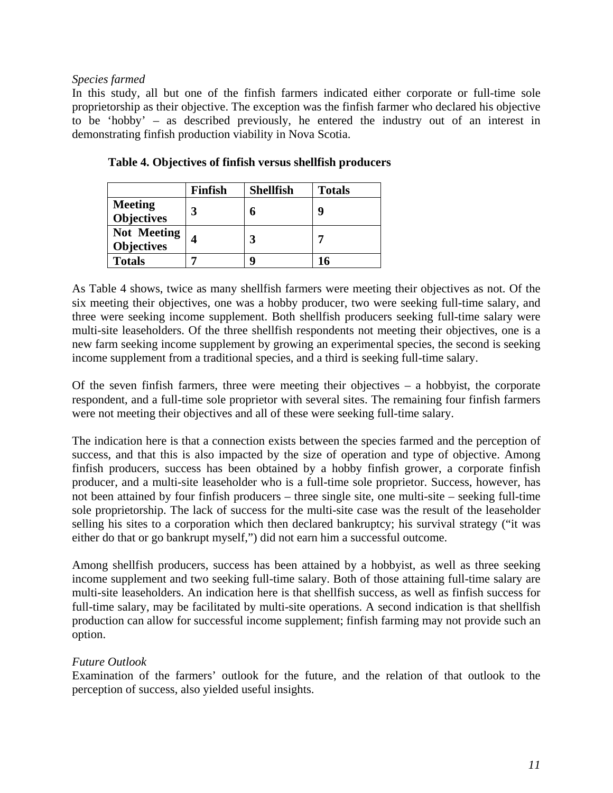### *Species farmed*

In this study, all but one of the finfish farmers indicated either corporate or full-time sole proprietorship as their objective. The exception was the finfish farmer who declared his objective to be 'hobby' – as described previously, he entered the industry out of an interest in demonstrating finfish production viability in Nova Scotia.

|                                         | <b>Finfish</b> | <b>Shellfish</b> | <b>Totals</b> |
|-----------------------------------------|----------------|------------------|---------------|
| <b>Meeting</b><br><b>Objectives</b>     |                |                  | q             |
| <b>Not Meeting</b><br><b>Objectives</b> |                |                  |               |
| <b>Totals</b>                           |                |                  | 16            |

**Table 4. Objectives of finfish versus shellfish producers** 

As Table 4 shows, twice as many shellfish farmers were meeting their objectives as not. Of the six meeting their objectives, one was a hobby producer, two were seeking full-time salary, and three were seeking income supplement. Both shellfish producers seeking full-time salary were multi-site leaseholders. Of the three shellfish respondents not meeting their objectives, one is a new farm seeking income supplement by growing an experimental species, the second is seeking income supplement from a traditional species, and a third is seeking full-time salary.

Of the seven finfish farmers, three were meeting their objectives – a hobbyist, the corporate respondent, and a full-time sole proprietor with several sites. The remaining four finfish farmers were not meeting their objectives and all of these were seeking full-time salary.

The indication here is that a connection exists between the species farmed and the perception of success, and that this is also impacted by the size of operation and type of objective. Among finfish producers, success has been obtained by a hobby finfish grower, a corporate finfish producer, and a multi-site leaseholder who is a full-time sole proprietor. Success, however, has not been attained by four finfish producers – three single site, one multi-site – seeking full-time sole proprietorship. The lack of success for the multi-site case was the result of the leaseholder selling his sites to a corporation which then declared bankruptcy; his survival strategy ("it was either do that or go bankrupt myself,") did not earn him a successful outcome.

Among shellfish producers, success has been attained by a hobbyist, as well as three seeking income supplement and two seeking full-time salary. Both of those attaining full-time salary are multi-site leaseholders. An indication here is that shellfish success, as well as finfish success for full-time salary, may be facilitated by multi-site operations. A second indication is that shellfish production can allow for successful income supplement; finfish farming may not provide such an option.

## *Future Outlook*

Examination of the farmers' outlook for the future, and the relation of that outlook to the perception of success, also yielded useful insights.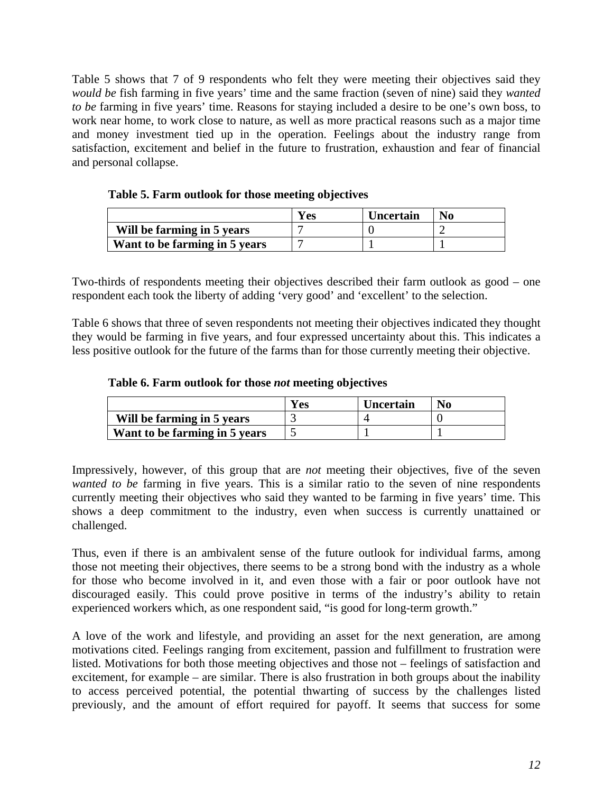Table 5 shows that 7 of 9 respondents who felt they were meeting their objectives said they *would be* fish farming in five years' time and the same fraction (seven of nine) said they *wanted to be* farming in five years' time. Reasons for staying included a desire to be one's own boss, to work near home, to work close to nature, as well as more practical reasons such as a major time and money investment tied up in the operation. Feelings about the industry range from satisfaction, excitement and belief in the future to frustration, exhaustion and fear of financial and personal collapse.

|                               | Yes | <b>Uncertain</b> | No |
|-------------------------------|-----|------------------|----|
| Will be farming in 5 years    |     |                  |    |
| Want to be farming in 5 years |     |                  |    |

Two-thirds of respondents meeting their objectives described their farm outlook as good – one respondent each took the liberty of adding 'very good' and 'excellent' to the selection.

Table 6 shows that three of seven respondents not meeting their objectives indicated they thought they would be farming in five years, and four expressed uncertainty about this. This indicates a less positive outlook for the future of the farms than for those currently meeting their objective.

#### **Table 6. Farm outlook for those** *not* **meeting objectives**

|                               | Ves | Uncertain | N <sub>0</sub> |
|-------------------------------|-----|-----------|----------------|
| Will be farming in 5 years    |     |           |                |
| Want to be farming in 5 years |     |           |                |

Impressively, however, of this group that are *not* meeting their objectives, five of the seven *wanted to be* farming in five years. This is a similar ratio to the seven of nine respondents currently meeting their objectives who said they wanted to be farming in five years' time. This shows a deep commitment to the industry, even when success is currently unattained or challenged.

Thus, even if there is an ambivalent sense of the future outlook for individual farms, among those not meeting their objectives, there seems to be a strong bond with the industry as a whole for those who become involved in it, and even those with a fair or poor outlook have not discouraged easily. This could prove positive in terms of the industry's ability to retain experienced workers which, as one respondent said, "is good for long-term growth."

A love of the work and lifestyle, and providing an asset for the next generation, are among motivations cited. Feelings ranging from excitement, passion and fulfillment to frustration were listed. Motivations for both those meeting objectives and those not – feelings of satisfaction and excitement, for example – are similar. There is also frustration in both groups about the inability to access perceived potential, the potential thwarting of success by the challenges listed previously, and the amount of effort required for payoff. It seems that success for some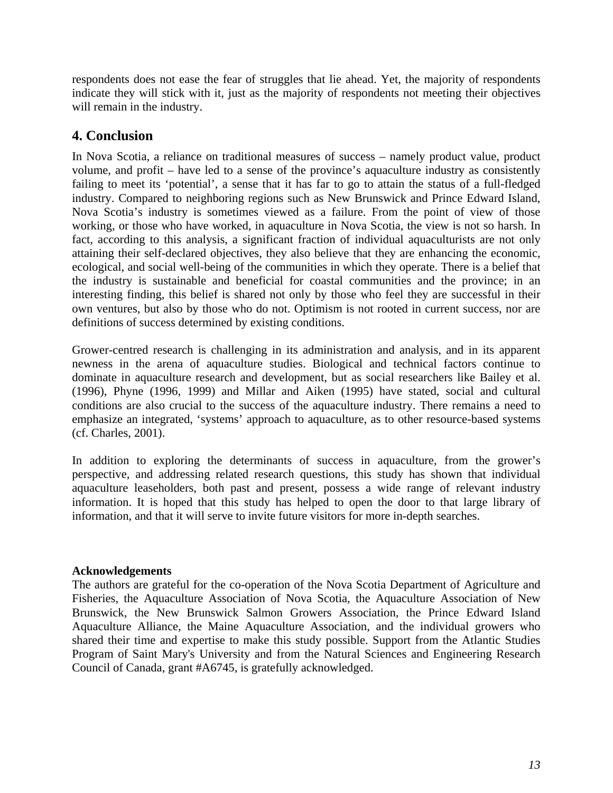respondents does not ease the fear of struggles that lie ahead. Yet, the majority of respondents indicate they will stick with it, just as the majority of respondents not meeting their objectives will remain in the industry.

## **4. Conclusion**

In Nova Scotia, a reliance on traditional measures of success – namely product value, product volume, and profit – have led to a sense of the province's aquaculture industry as consistently failing to meet its 'potential', a sense that it has far to go to attain the status of a full-fledged industry. Compared to neighboring regions such as New Brunswick and Prince Edward Island, Nova Scotia's industry is sometimes viewed as a failure. From the point of view of those working, or those who have worked, in aquaculture in Nova Scotia, the view is not so harsh. In fact, according to this analysis, a significant fraction of individual aquaculturists are not only attaining their self-declared objectives, they also believe that they are enhancing the economic, ecological, and social well-being of the communities in which they operate. There is a belief that the industry is sustainable and beneficial for coastal communities and the province; in an interesting finding, this belief is shared not only by those who feel they are successful in their own ventures, but also by those who do not. Optimism is not rooted in current success, nor are definitions of success determined by existing conditions.

Grower-centred research is challenging in its administration and analysis, and in its apparent newness in the arena of aquaculture studies. Biological and technical factors continue to dominate in aquaculture research and development, but as social researchers like Bailey et al. (1996), Phyne (1996, 1999) and Millar and Aiken (1995) have stated, social and cultural conditions are also crucial to the success of the aquaculture industry. There remains a need to emphasize an integrated, 'systems' approach to aquaculture, as to other resource-based systems (cf. Charles, 2001).

In addition to exploring the determinants of success in aquaculture, from the grower's perspective, and addressing related research questions, this study has shown that individual aquaculture leaseholders, both past and present, possess a wide range of relevant industry information. It is hoped that this study has helped to open the door to that large library of information, and that it will serve to invite future visitors for more in-depth searches.

## **Acknowledgements**

The authors are grateful for the co-operation of the Nova Scotia Department of Agriculture and Fisheries, the Aquaculture Association of Nova Scotia, the Aquaculture Association of New Brunswick, the New Brunswick Salmon Growers Association, the Prince Edward Island Aquaculture Alliance, the Maine Aquaculture Association, and the individual growers who shared their time and expertise to make this study possible. Support from the Atlantic Studies Program of Saint Mary's University and from the Natural Sciences and Engineering Research Council of Canada, grant #A6745, is gratefully acknowledged.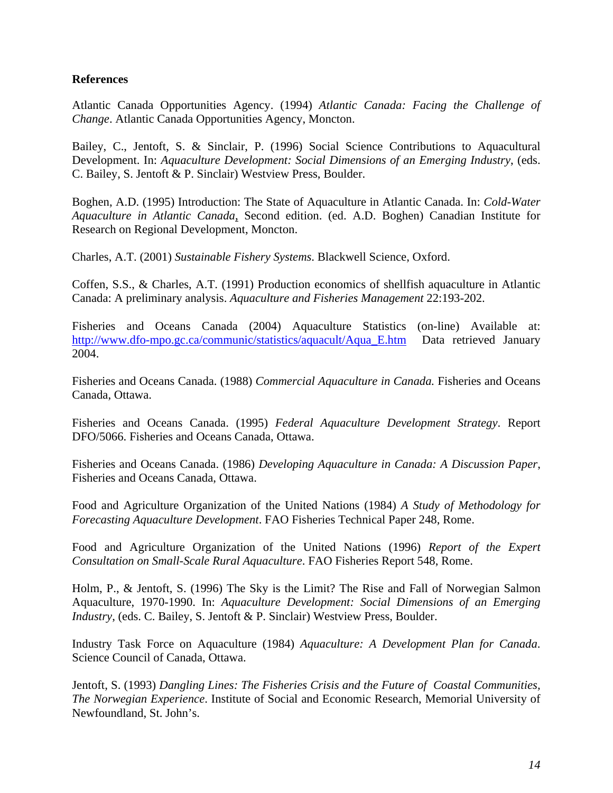### **References**

Atlantic Canada Opportunities Agency. (1994) *Atlantic Canada: Facing the Challenge of Change*. Atlantic Canada Opportunities Agency, Moncton.

Bailey, C., Jentoft, S. & Sinclair, P. (1996) Social Science Contributions to Aquacultural Development. In: *Aquaculture Development: Social Dimensions of an Emerging Industry*, (eds. C. Bailey, S. Jentoft & P. Sinclair) Westview Press, Boulder.

Boghen, A.D. (1995) Introduction: The State of Aquaculture in Atlantic Canada. In: *Cold-Water Aquaculture in Atlantic Canada*, Second edition. (ed. A.D. Boghen) Canadian Institute for Research on Regional Development, Moncton.

Charles, A.T. (2001) *Sustainable Fishery Systems*. Blackwell Science, Oxford.

Coffen, S.S., & Charles, A.T. (1991) Production economics of shellfish aquaculture in Atlantic Canada: A preliminary analysis. *Aquaculture and Fisheries Management* 22:193-202.

Fisheries and Oceans Canada (2004) Aquaculture Statistics (on-line) Available at: [http://www.dfo-mpo.gc.ca/communic/statistics/aquacult/Aqua\\_E.htm](http://www.dfo-mpo.gc.ca/communic/statistics/aquacult/Aqua_E.htm) Data retrieved January 2004.

Fisheries and Oceans Canada. (1988) *Commercial Aquaculture in Canada.* Fisheries and Oceans Canada, Ottawa.

Fisheries and Oceans Canada. (1995) *Federal Aquaculture Development Strategy*. Report DFO/5066. Fisheries and Oceans Canada, Ottawa.

Fisheries and Oceans Canada. (1986) *Developing Aquaculture in Canada: A Discussion Paper*, Fisheries and Oceans Canada, Ottawa.

Food and Agriculture Organization of the United Nations (1984) *A Study of Methodology for Forecasting Aquaculture Development*. FAO Fisheries Technical Paper 248, Rome.

Food and Agriculture Organization of the United Nations (1996) *Report of the Expert Consultation on Small-Scale Rural Aquaculture*. FAO Fisheries Report 548, Rome.

Holm, P., & Jentoft, S. (1996) The Sky is the Limit? The Rise and Fall of Norwegian Salmon Aquaculture, 1970-1990. In: *Aquaculture Development: Social Dimensions of an Emerging Industry*, (eds. C. Bailey, S. Jentoft & P. Sinclair) Westview Press, Boulder.

Industry Task Force on Aquaculture (1984) *Aquaculture: A Development Plan for Canada*. Science Council of Canada, Ottawa.

Jentoft, S. (1993) *Dangling Lines: The Fisheries Crisis and the Future of Coastal Communities, The Norwegian Experience*. Institute of Social and Economic Research, Memorial University of Newfoundland, St. John's.